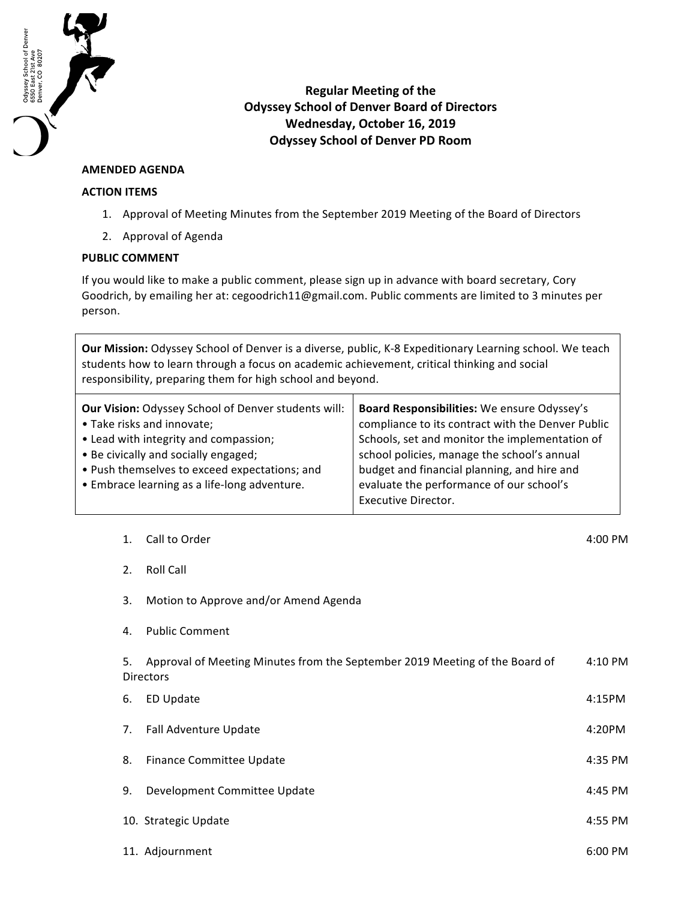

## **Regular Meeting of the Odyssey School of Denver Board of Directors Wednesday, October 16, 2019 Odyssey School of Denver PD Room**

## **AMENDED AGENDA**

## **ACTION ITEMS**

- 1. Approval of Meeting Minutes from the September 2019 Meeting of the Board of Directors
- 2. Approval of Agenda

## **PUBLIC COMMENT**

If you would like to make a public comment, please sign up in advance with board secretary, Cory Goodrich, by emailing her at: cegoodrich11@gmail.com. Public comments are limited to 3 minutes per person.

| Our Mission: Odyssey School of Denver is a diverse, public, K-8 Expeditionary Learning school. We teach<br>students how to learn through a focus on academic achievement, critical thinking and social<br>responsibility, preparing them for high school and beyond. |                                                                                                 |                                                                                                                                                                                                                                                                                                                     |         |
|----------------------------------------------------------------------------------------------------------------------------------------------------------------------------------------------------------------------------------------------------------------------|-------------------------------------------------------------------------------------------------|---------------------------------------------------------------------------------------------------------------------------------------------------------------------------------------------------------------------------------------------------------------------------------------------------------------------|---------|
| Our Vision: Odyssey School of Denver students will:<br>• Take risks and innovate;<br>• Lead with integrity and compassion;<br>• Be civically and socially engaged;<br>. Push themselves to exceed expectations; and<br>• Embrace learning as a life-long adventure.  |                                                                                                 | Board Responsibilities: We ensure Odyssey's<br>compliance to its contract with the Denver Public<br>Schools, set and monitor the implementation of<br>school policies, manage the school's annual<br>budget and financial planning, and hire and<br>evaluate the performance of our school's<br>Executive Director. |         |
| 1.                                                                                                                                                                                                                                                                   | Call to Order                                                                                   |                                                                                                                                                                                                                                                                                                                     | 4:00 PM |
| 2.                                                                                                                                                                                                                                                                   | <b>Roll Call</b>                                                                                |                                                                                                                                                                                                                                                                                                                     |         |
| 3.                                                                                                                                                                                                                                                                   | Motion to Approve and/or Amend Agenda                                                           |                                                                                                                                                                                                                                                                                                                     |         |
| 4.                                                                                                                                                                                                                                                                   | <b>Public Comment</b>                                                                           |                                                                                                                                                                                                                                                                                                                     |         |
| 5.                                                                                                                                                                                                                                                                   | Approval of Meeting Minutes from the September 2019 Meeting of the Board of<br><b>Directors</b> |                                                                                                                                                                                                                                                                                                                     | 4:10 PM |
| 6.                                                                                                                                                                                                                                                                   | <b>ED Update</b>                                                                                |                                                                                                                                                                                                                                                                                                                     | 4:15PM  |
| 7.                                                                                                                                                                                                                                                                   | Fall Adventure Update                                                                           |                                                                                                                                                                                                                                                                                                                     | 4:20PM  |
| 8.                                                                                                                                                                                                                                                                   | Finance Committee Update                                                                        |                                                                                                                                                                                                                                                                                                                     | 4:35 PM |
| 9.                                                                                                                                                                                                                                                                   | Development Committee Update                                                                    |                                                                                                                                                                                                                                                                                                                     | 4:45 PM |
|                                                                                                                                                                                                                                                                      | 10. Strategic Update                                                                            |                                                                                                                                                                                                                                                                                                                     | 4:55 PM |
|                                                                                                                                                                                                                                                                      | 11. Adjournment                                                                                 |                                                                                                                                                                                                                                                                                                                     | 6:00 PM |